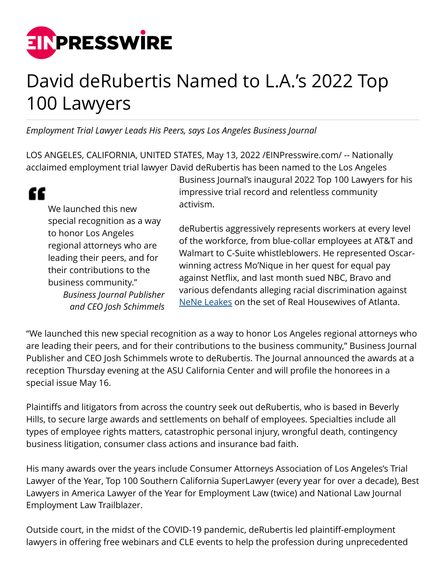

## David deRubertis Named to L.A.'s 2022 Top 100 Lawyers

*Employment Trial Lawyer Leads His Peers, says Los Angeles Business Journal*

LOS ANGELES, CALIFORNIA, UNITED STATES, May 13, 2022 /[EINPresswire.com](http://www.einpresswire.com)/ -- Nationally acclaimed employment trial lawyer David deRubertis has been named to the Los Angeles

We launched this new special recognition as a way to honor Los Angeles regional attorneys who are leading their peers, and for their contributions to the business community." *Business Journal Publisher and CEO Josh Schimmels* Business Journal's inaugural 2022 Top 100 Lawyers for his impressive trial record and relentless community activism.

deRubertis aggressively represents workers at every level of the workforce, from blue-collar employees at AT&T and Walmart to C-Suite whistleblowers. He represented Oscarwinning actress Mo'Nique in her quest for equal pay against Netflix, and last month sued NBC, Bravo and various defendants alleging racial discrimination against [NeNe Leakes](http://www.the-sun.com/entertainment/5253615/real-housewives-atlanta-nene-leakes-lawsuit-attorney-andy-cohen/) on the set of Real Housewives of Atlanta.

"We launched this new special recognition as a way to honor Los Angeles regional attorneys who are leading their peers, and for their contributions to the business community," Business Journal Publisher and CEO Josh Schimmels wrote to deRubertis. The Journal announced the awards at a reception Thursday evening at the ASU California Center and will profile the honorees in a special issue May 16.

Plaintiffs and litigators from across the country seek out deRubertis, who is based in Beverly Hills, to secure large awards and settlements on behalf of employees. Specialties include all types of employee rights matters, catastrophic personal injury, wrongful death, contingency business litigation, consumer class actions and insurance bad faith.

His many awards over the years include Consumer Attorneys Association of Los Angeles's Trial Lawyer of the Year, Top 100 Southern California SuperLawyer (every year for over a decade), Best Lawyers in America Lawyer of the Year for Employment Law (twice) and National Law Journal Employment Law Trailblazer.

Outside court, in the midst of the COVID-19 pandemic, deRubertis led plaintiff-employment lawyers in offering free webinars and CLE events to help the profession during unprecedented